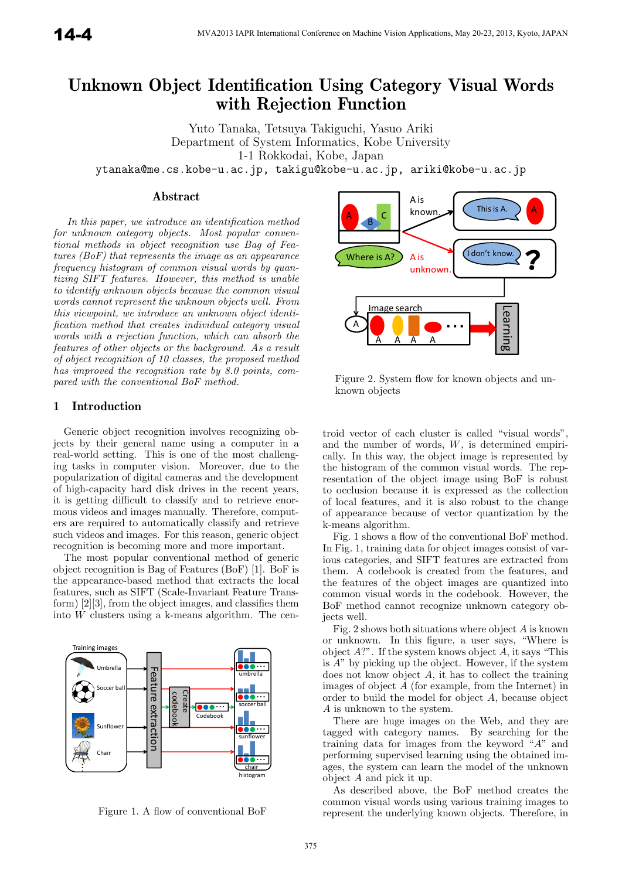# **Unknown Object Identification Using Category Visual Words with Rejection Function**

Yuto Tanaka, Tetsuya Takiguchi, Yasuo Ariki Department of System Informatics, Kobe University 1-1 Rokkodai, Kobe, Japan

ytanaka@me.cs.kobe-u.ac.jp, takigu@kobe-u.ac.jp, ariki@kobe-u.ac.jp

# **Abstract**

In this paper, we introduce an identification method for unknown category objects. Most popular conventional methods in object recognition use Bag of Features (BoF) that represents the image as an appearance frequency histogram of common visual words by quantizing SIFT features. However, this method is unable to identify unknown objects because the common visual words cannot represent the unknown objects well. From this viewpoint, we introduce an unknown object identification method that creates individual category visual words with a rejection function, which can absorb the features of other objects or the background. As a result of object recognition of 10 classes, the proposed method has improved the recognition rate by 8.0 points, compared with the conventional BoF method.

# **1 Introduction**

Generic object recognition involves recognizing objects by their general name using a computer in a real-world setting. This is one of the most challenging tasks in computer vision. Moreover, due to the popularization of digital cameras and the development of high-capacity hard disk drives in the recent years, it is getting difficult to classify and to retrieve enormous videos and images manually. Therefore, computers are required to automatically classify and retrieve such videos and images. For this reason, generic object recognition is becoming more and more important.

The most popular conventional method of generic object recognition is Bag of Features (BoF) [1]. BoF is the appearance-based method that extracts the local features, such as SIFT (Scale-Invariant Feature Transform) [2][3], from the object images, and classifies them into  $\overline{W}$  clusters using a k-means algorithm. The cen-



Figure 1. A flow of conventional BoF



Figure 2. System flow for known objects and unknown objects

troid vector of each cluster is called "visual words", and the number of words,  $W$ , is determined empirically. In this way, the object image is represented by the histogram of the common visual words. The representation of the object image using BoF is robust to occlusion because it is expressed as the collection of local features, and it is also robust to the change of appearance because of vector quantization by the k-means algorithm.

Fig. 1 shows a flow of the conventional BoF method. In Fig. 1, training data for object images consist of various categories, and SIFT features are extracted from them. A codebook is created from the features, and the features of the object images are quantized into common visual words in the codebook. However, the BoF method cannot recognize unknown category objects well.

Fig. 2 shows both situations where object A is known or unknown. In this figure, a user says, "Where is object  $A$ ?". If the system knows object  $A$ , it says "This is  $A$ " by picking up the object. However, if the system does not know object A, it has to collect the training images of object A (for example, from the Internet) in order to build the model for object A, because object A is unknown to the system.

There are huge images on the Web, and they are tagged with category names. By searching for the training data for images from the keyword "A" and performing supervised learning using the obtained images, the system can learn the model of the unknown object A and pick it up.

As described above, the BoF method creates the common visual words using various training images to represent the underlying known objects. Therefore, in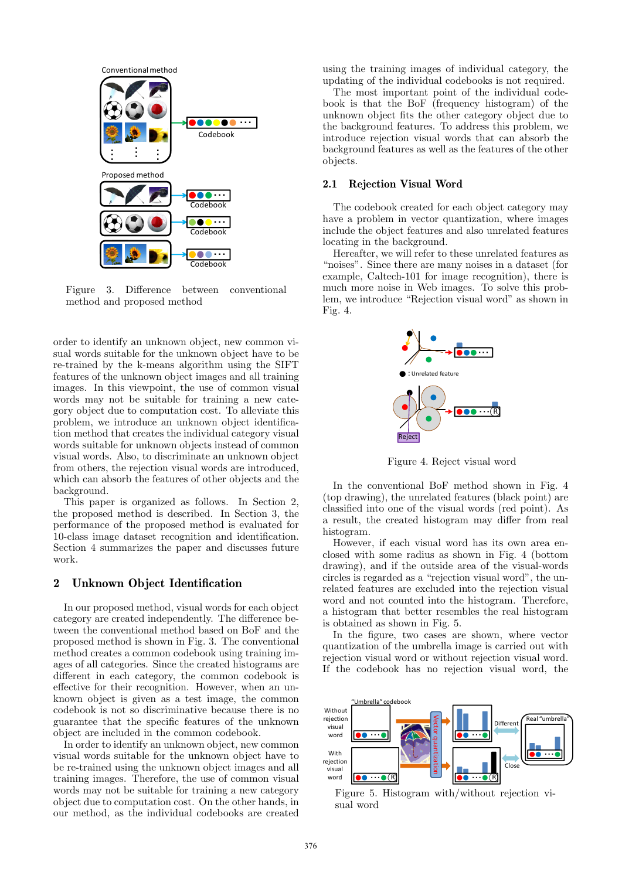

Figure 3. Difference between conventional method and proposed method

order to identify an unknown object, new common visual words suitable for the unknown object have to be re-trained by the k-means algorithm using the SIFT features of the unknown object images and all training images. In this viewpoint, the use of common visual words may not be suitable for training a new category object due to computation cost. To alleviate this problem, we introduce an unknown object identification method that creates the individual category visual words suitable for unknown objects instead of common visual words. Also, to discriminate an unknown object from others, the rejection visual words are introduced, which can absorb the features of other objects and the background.

This paper is organized as follows. In Section 2, the proposed method is described. In Section 3, the performance of the proposed method is evaluated for 10-class image dataset recognition and identification. Section 4 summarizes the paper and discusses future work.

# **2 Unknown Object Identification**

In our proposed method, visual words for each object category are created independently. The difference between the conventional method based on BoF and the proposed method is shown in Fig. 3. The conventional method creates a common codebook using training images of all categories. Since the created histograms are different in each category, the common codebook is effective for their recognition. However, when an unknown object is given as a test image, the common codebook is not so discriminative because there is no guarantee that the specific features of the unknown object are included in the common codebook.

In order to identify an unknown object, new common visual words suitable for the unknown object have to be re-trained using the unknown object images and all training images. Therefore, the use of common visual words may not be suitable for training a new category object due to computation cost. On the other hands, in our method, as the individual codebooks are created

using the training images of individual category, the updating of the individual codebooks is not required.

The most important point of the individual codebook is that the BoF (frequency histogram) of the unknown object fits the other category object due to the background features. To address this problem, we introduce rejection visual words that can absorb the background features as well as the features of the other objects.

#### **2.1 Rejection Visual Word**

The codebook created for each object category may have a problem in vector quantization, where images include the object features and also unrelated features locating in the background.

Hereafter, we will refer to these unrelated features as "noises". Since there are many noises in a dataset (for example, Caltech-101 for image recognition), there is much more noise in Web images. To solve this problem, we introduce "Rejection visual word" as shown in Fig. 4.



Figure 4. Reject visual word

In the conventional BoF method shown in Fig. 4 (top drawing), the unrelated features (black point) are classified into one of the visual words (red point). As a result, the created histogram may differ from real histogram.

However, if each visual word has its own area enclosed with some radius as shown in Fig. 4 (bottom drawing), and if the outside area of the visual-words circles is regarded as a "rejection visual word", the unrelated features are excluded into the rejection visual word and not counted into the histogram. Therefore, a histogram that better resembles the real histogram is obtained as shown in Fig. 5.

In the figure, two cases are shown, where vector quantization of the umbrella image is carried out with rejection visual word or without rejection visual word. If the codebook has no rejection visual word, the



Figure 5. Histogram with/without rejection visual word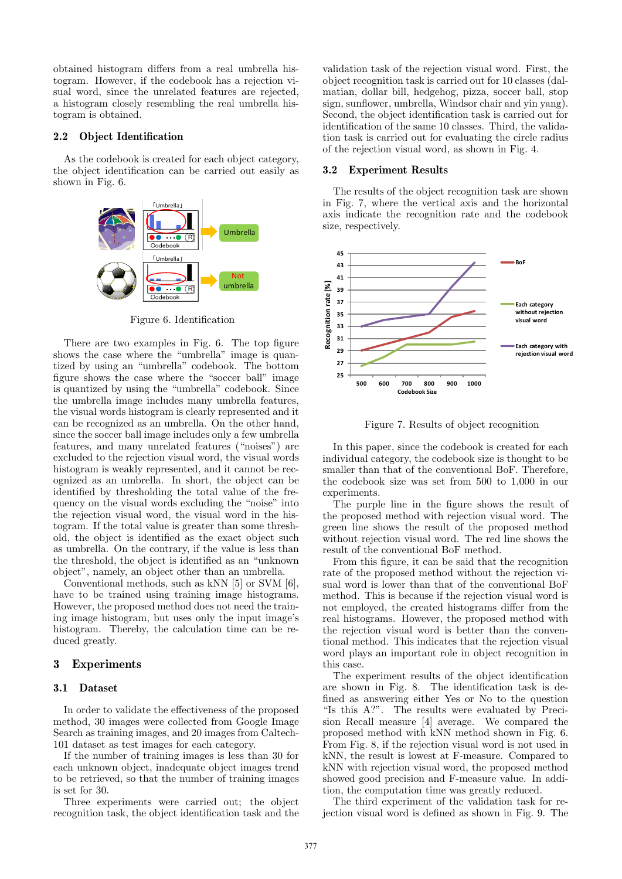obtained histogram differs from a real umbrella histogram. However, if the codebook has a rejection visual word, since the unrelated features are rejected, a histogram closely resembling the real umbrella histogram is obtained.

## **2.2 Object Identification**

As the codebook is created for each object category, the object identification can be carried out easily as shown in Fig. 6.



Figure 6. Identification

There are two examples in Fig. 6. The top figure shows the case where the "umbrella" image is quantized by using an "umbrella" codebook. The bottom figure shows the case where the "soccer ball" image is quantized by using the "umbrella" codebook. Since the umbrella image includes many umbrella features, the visual words histogram is clearly represented and it can be recognized as an umbrella. On the other hand, since the soccer ball image includes only a few umbrella features, and many unrelated features ("noises") are excluded to the rejection visual word, the visual words histogram is weakly represented, and it cannot be recognized as an umbrella. In short, the object can be identified by thresholding the total value of the frequency on the visual words excluding the "noise" into the rejection visual word, the visual word in the histogram. If the total value is greater than some threshold, the object is identified as the exact object such as umbrella. On the contrary, if the value is less than the threshold, the object is identified as an "unknown object", namely, an object other than an umbrella.

Conventional methods, such as kNN [5] or SVM [6], have to be trained using training image histograms. However, the proposed method does not need the training image histogram, but uses only the input image's histogram. Thereby, the calculation time can be reduced greatly.

# **3 Experiments**

#### **3.1 Dataset**

In order to validate the effectiveness of the proposed method, 30 images were collected from Google Image Search as training images, and 20 images from Caltech-101 dataset as test images for each category.

If the number of training images is less than 30 for each unknown object, inadequate object images trend to be retrieved, so that the number of training images is set for 30.

Three experiments were carried out; the object recognition task, the object identification task and the

validation task of the rejection visual word. First, the object recognition task is carried out for 10 classes (dalmatian, dollar bill, hedgehog, pizza, soccer ball, stop sign, sunflower, umbrella, Windsor chair and yin yang). Second, the object identification task is carried out for identification of the same 10 classes. Third, the validation task is carried out for evaluating the circle radius of the rejection visual word, as shown in Fig. 4.

#### **3.2 Experiment Results**

The results of the object recognition task are shown in Fig. 7, where the vertical axis and the horizontal axis indicate the recognition rate and the codebook size, respectively.



Figure 7. Results of object recognition

In this paper, since the codebook is created for each individual category, the codebook size is thought to be smaller than that of the conventional BoF. Therefore, the codebook size was set from 500 to 1,000 in our experiments.

The purple line in the figure shows the result of the proposed method with rejection visual word. The green line shows the result of the proposed method without rejection visual word. The red line shows the result of the conventional BoF method.

From this figure, it can be said that the recognition rate of the proposed method without the rejection visual word is lower than that of the conventional BoF method. This is because if the rejection visual word is not employed, the created histograms differ from the real histograms. However, the proposed method with the rejection visual word is better than the conventional method. This indicates that the rejection visual word plays an important role in object recognition in this case.

The experiment results of the object identification are shown in Fig. 8. The identification task is defined as answering either Yes or No to the question "Is this A?". The results were evaluated by Precision Recall measure [4] average. We compared the proposed method with kNN method shown in Fig. 6. From Fig. 8, if the rejection visual word is not used in kNN, the result is lowest at F-measure. Compared to kNN with rejection visual word, the proposed method showed good precision and F-measure value. In addition, the computation time was greatly reduced.

The third experiment of the validation task for rejection visual word is defined as shown in Fig. 9. The